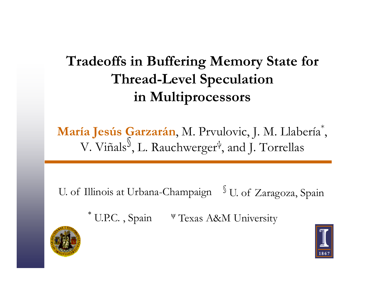#### **Tradeoffs in Buffering Memory State for Thread-Level Speculation in Multiprocessors**

**María Jesús Garzarán**, M. Prvulovic, J. M. Llabería \* , V. Viñals §, L. Rauchwerger  $\psi$ , and J. Torrellas

U. of Illinois at Urbana-Champaign  $\ ^\text{\textregistered}$  U. of Zaragoza, Spain

\* U.P.C., Spain V Texas A&M University



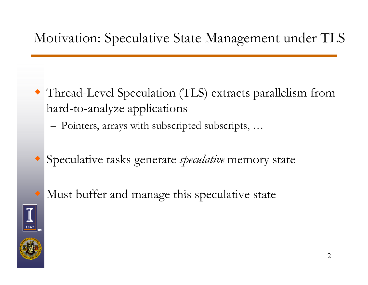#### Motivation: Speculative State Management under TLS

- Thread-Level Speculation (TLS) extracts parallelism from hard-to-analyze applications
	- –– Pointers, arrays with subscripted subscripts, ...
- Speculative tasks generate *speculative* memory state
- Must buffer and manage this speculative state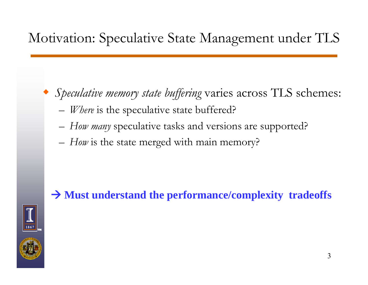#### Motivation: Speculative State Management under TLS

- Speculative memory state buffering varies across TLS schemes:
	- *Where* is the speculative state buffered?
	- *How many* speculative tasks and versions are supported?
	- –*How* is the state merged with main memory?

#### Æ **Must understand the performance/complexity tradeoffs**



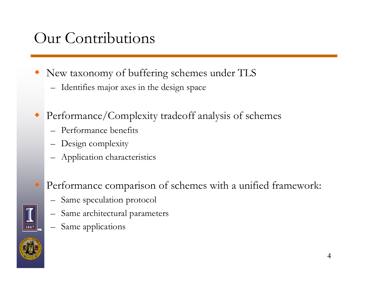#### Our Contributions

- New taxonomy of buffering schemes under TLS
	- $-$  Identifies major axes in the design space
- Performance/Complexity tradeoff analysis of schemes
	- Performance benefits
	- Design complexity
	- Application characteristics
	- Performance comparison of schemes with a unified framework:
		- Same speculation protocol
		- –Same architectural parameters
		- Same applications



♦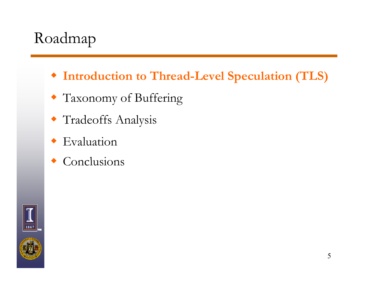## Roadmap

- **Introduction to Thread-Level Speculation (TLS)**
- Taxonomy of Buffering
- Tradeoffs Analysis
- Evaluation
- $\triangle$  Conclusions

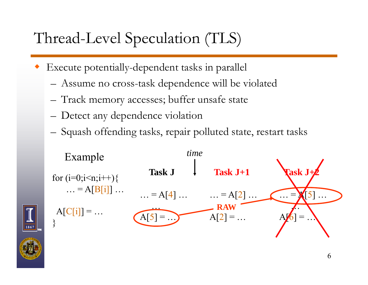## Thread-Level Speculation (TLS)

- ♦ Execute potentially-dependent tasks in parallel
	- Assume no cross-task de pendence will be violated
	- Track memory accesses; buffer unsafe state
	- Detect any dependence violation
	- –Squash offending tasks, repair polluted state, restart tasks



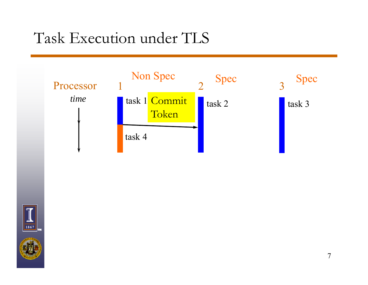



7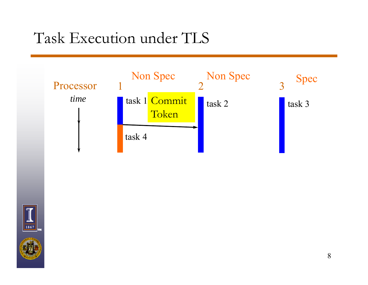



8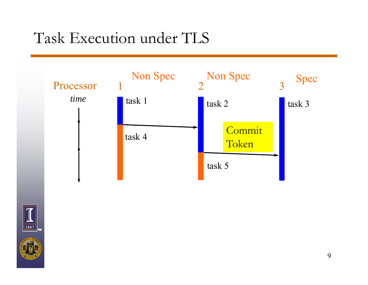

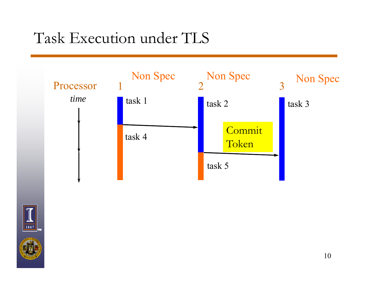

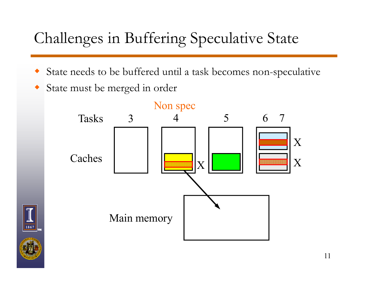## Challenges in Buffering Speculative State

- State needs to be buffered until a task becomes non-speculative
- State must be merged in order



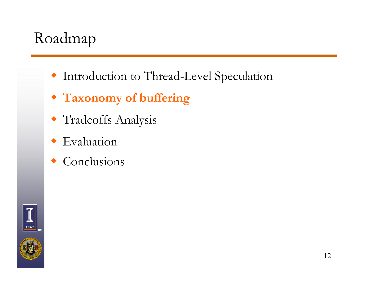## Roadmap

- Introduction to Thread-Level Speculation
- **Taxonomy of buffering**
- Tradeoffs Analysis
- Evaluation
- $\triangle$  Conclusions

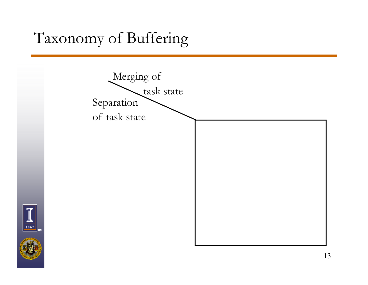## Taxonomy of Buffering

1867



13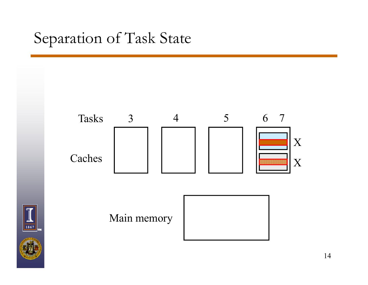## Separation of Task State

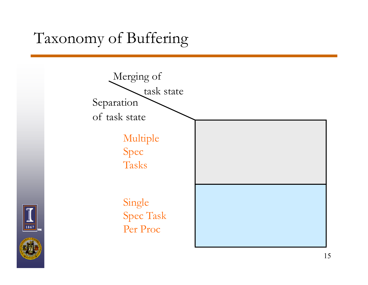## Taxonomy of Buffering

1867



15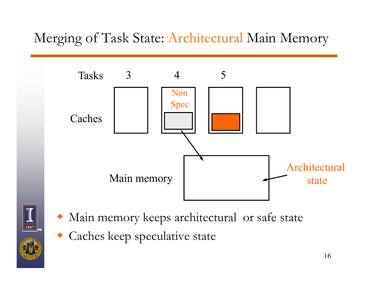#### Merging of Task State: Architectural Main Memory





- ♦ Main memory keeps architectural or safe state
- Caches keep speculative state ♦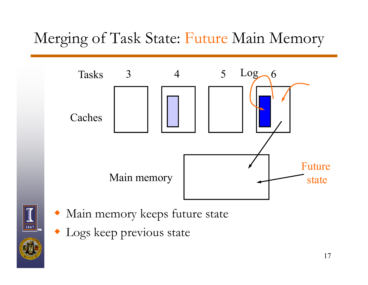## Merging of Task State: Future Main Memory





- Main memory keeps future state
- Logs keep previous state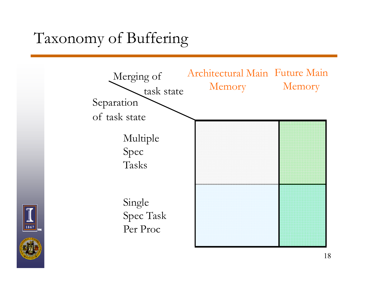## Taxonomy of Buffering

1867

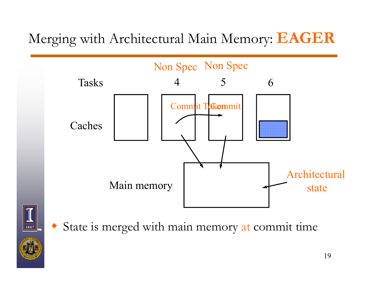Merging with Architectural Main Memory: **EAGER**





• State is merged with main memory at commit time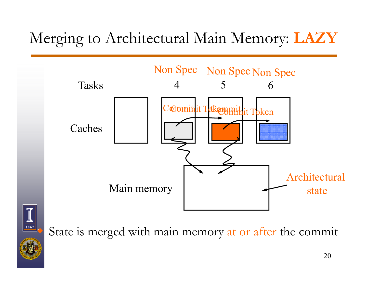## Merging to Architectural Main Memory: **LAZY**



1867  $\ddot{\textcolor{blue}\diamond}$ 

State is merged with main memory at or after the commit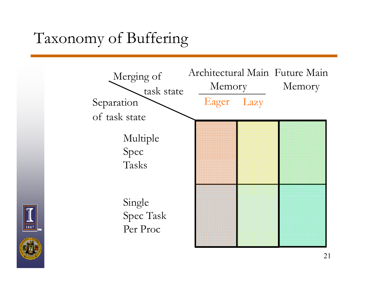## Taxonomy of Buffering





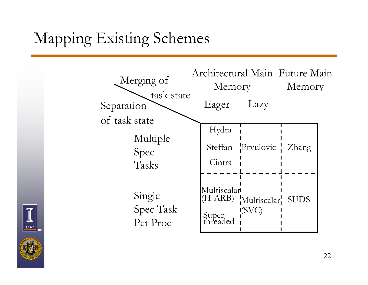# Mapping Existing Schemes





1867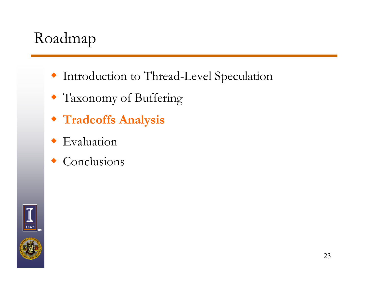## Roadmap

- Introduction to Thread-Level Speculation
- Taxonomy of Buffering
- **Tradeoffs Analysis**
- Evaluation
- $\triangle$  Conclusions

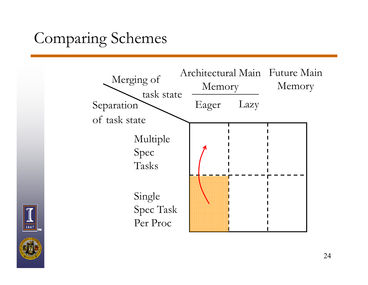## Comparing Schemes



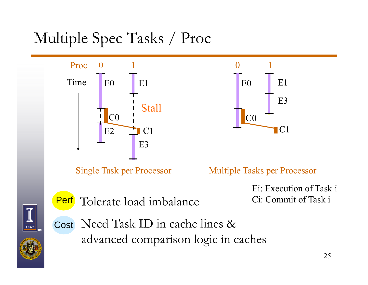# Multiple Spec Tasks / Proc



Single Task per Processor

Tolerate load imbalance



Multiple Tasks per Processor

Ei: Execution of Task iCi: Commit of Task i



Per f

Cost Need Task ID in cache lines & advanced comparison logic in caches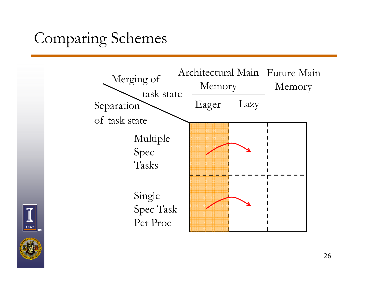## Comparing Schemes





1867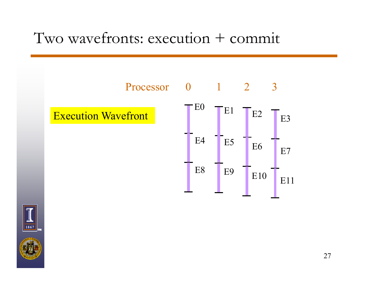#### Two wavefronts: execution + commit

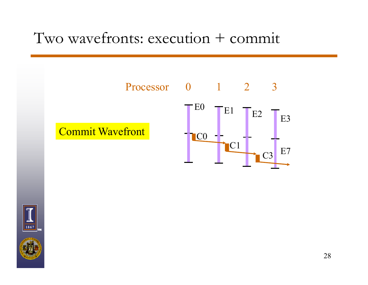#### Two wavefronts: execution + commit



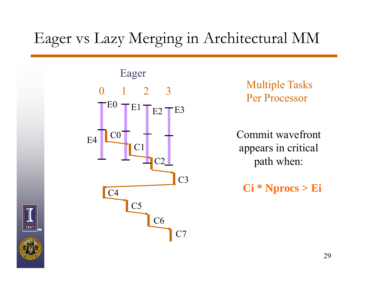## Eager vs Lazy Merging in Architectural MM



3 Multiple Tasks Per Processor

> Commit wavefront appears in critical path when:

 $Ci * Nprocs > Ei$ 



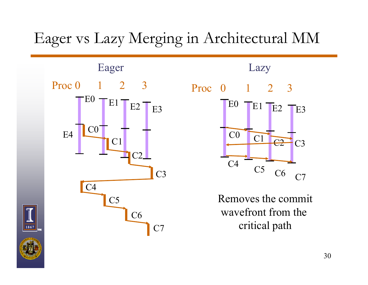#### Eager vs Lazy Merging in Architectural MM







Removes the commit Removes the commit<br>wavefront from the critical path



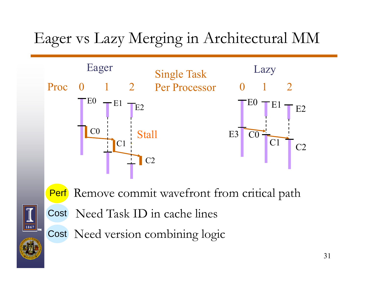## Eager vs Lazy Merging in Architectural MM





Perf Remove commit wavefront from critical path

Cost Need Task ID in cache lines

Cost Need version combining logic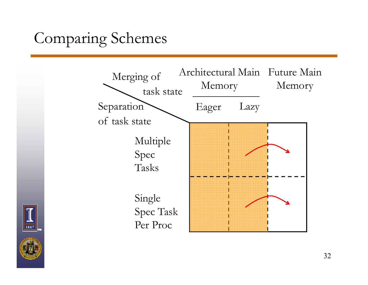## Comparing Schemes



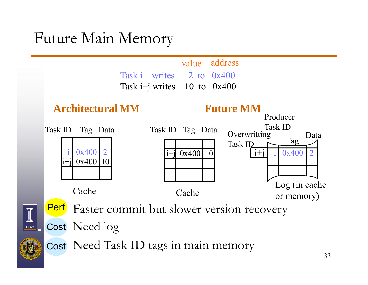#### Future Main Memory

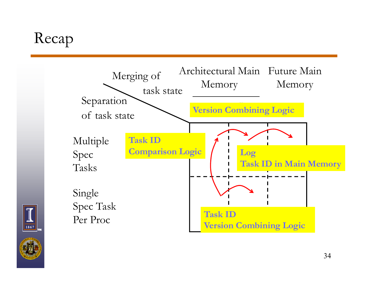## Recap



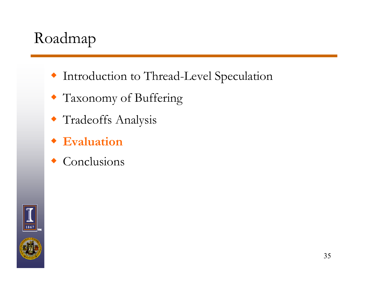## Roadmap

- Introduction to Thread-Level Speculation
- Taxonomy of Buffering
- Tradeoffs Analysis
- **Evaluation**
- $\triangle$  Conclusions

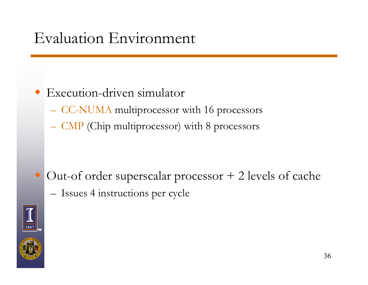#### Evaluation Environment

#### $\bullet$  Execution-driven simulator

- CC-NUMA multiprocessor with 16 processors
- CMP (Chip multiprocessor) with 8 processors

 Out-of order superscalar processor + 2 levels of cache –– Issues 4 instructions per cycle



 $\blacklozenge$ 

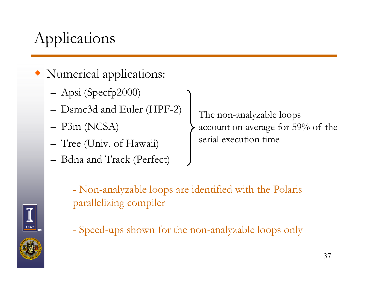# Applications

- Numerical applications:
	- Apsi (Specfp2000)
	- –Dsmc3d and Euler (HPF-2)
	- P3m (NCSA) –
	- Tree (Univ. of Hawaii)
	- Bdna and Track (Perfect)  $-$  Dulla allu TTac

The non-analyzable loops  $-$  P3m (NCSA)  $\longrightarrow$  account on average for 59% of the serial execution time

 Non-analyzable loops are identified with the Polaris parallelizing compiler

- Speed-ups shown for the non-analyzable loops only

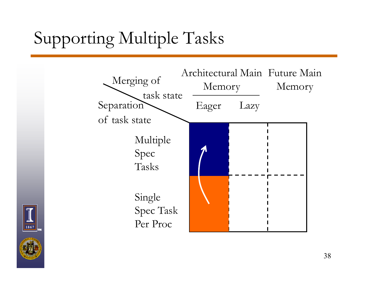# Supporting Multiple Tasks



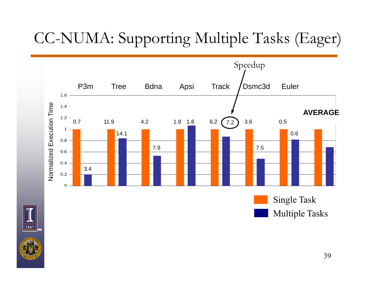# CC-NUMA: Supporting Multiple Tasks (Eager)





Single Task Multiple Tasks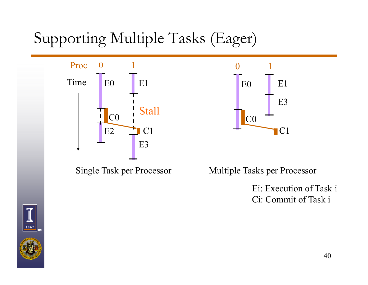## Supporting Multiple Tasks (Eager)



Single Task per Processor





Ei: Execution of Task i Ci: Commit of Task i k i<br>40



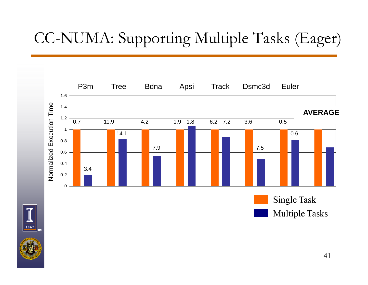# CC-NUMA: Supporting Multiple Tasks (Eager)





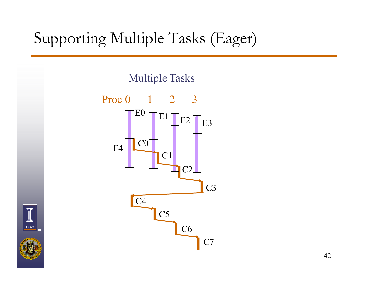## Supporting Multiple Tasks (Eager)

Multiple Tasks



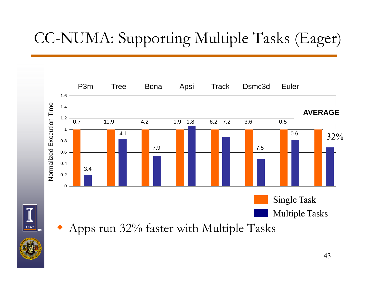# CC-NUMA: Supporting Multiple Tasks (Eager)

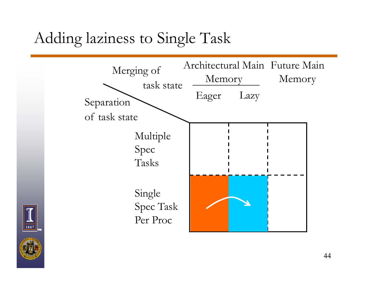#### Adding laziness to Single Task



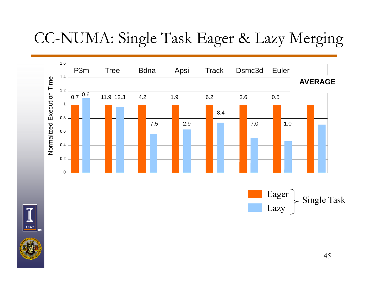#### CC-NUMA: Single Task Eager & Lazy Merging



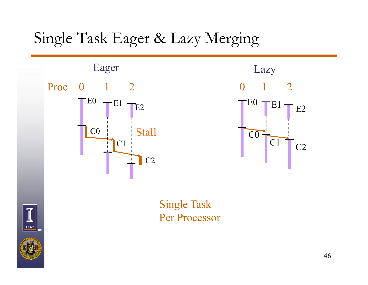#### Single Task Eager & Lazy Merging





Single Task Per Processor



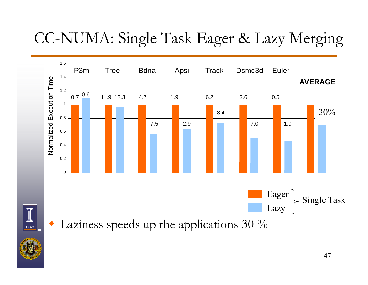## CC-NUMA: Single Task Eager & Lazy Merging



 $\bullet$  Laziness speeds up the applications 30 %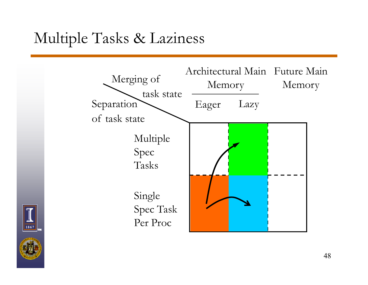#### Multiple Tasks & Laziness



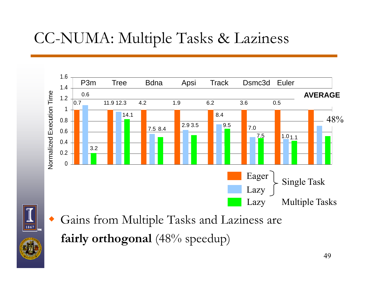#### CC-NUMA: Multiple Tasks & Laziness





♦

 Gains from Multiple Tasks and Laziness are **fairly orthogonal** (48% speedup)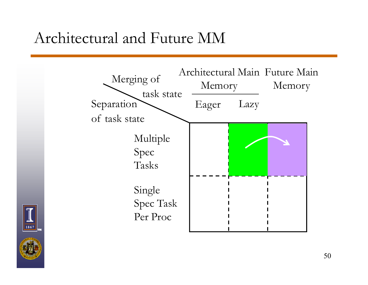#### Architectural and Future MM



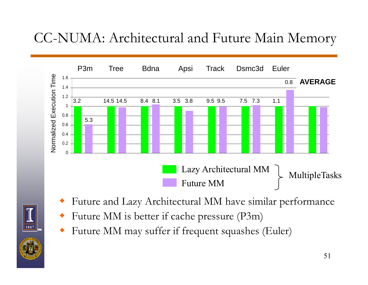#### CC-NUMA: Architectural and Future Main Memory



- ♦ Future and Lazy Architectural MM have similar performance
- ♦ Future MM is better if cache pressure (P3m)
- ♦ • Future MM may suffer if frequent squashes (Euler)

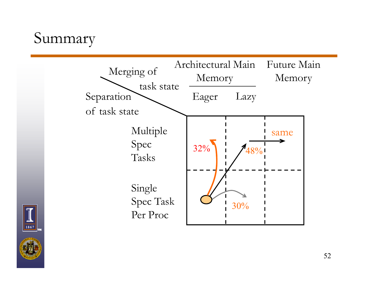#### Summary



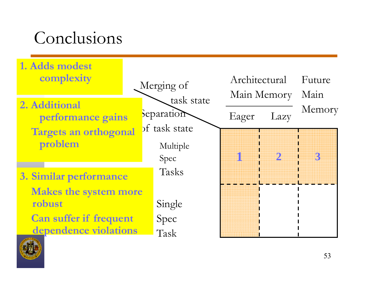# Conclusions



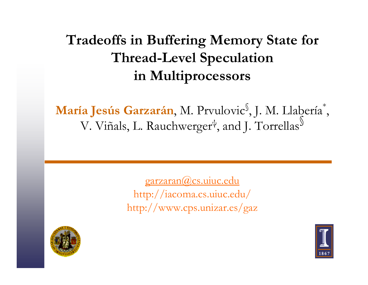#### **Tradeoffs in Buffering Memory State for Thread-Level Speculation in Multiprocessors**

**María Jesús Garzarán**, M. Prvulovic §, J. M. Llabería \* , V. Viñals, L. Rauchwerger<sup>ų</sup>, and J. Torrell § V. Viñals, L. Rauchwerger<sup>ų</sup>, and J. Torrellas

> garzaran@cs.uiuc.edu http://iacoma.cs.uiuc.edu/ http://www.cps.unizar.es/gaz



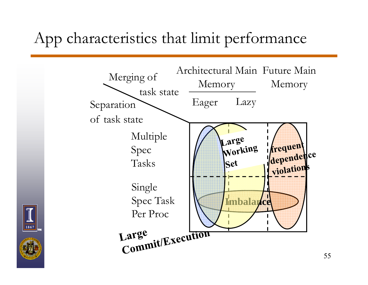#### App characteristics that limit performance





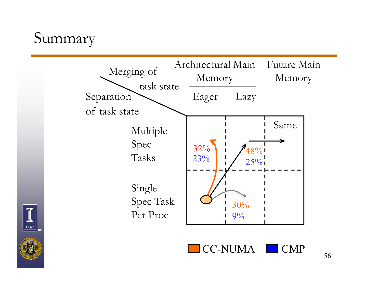#### Summary



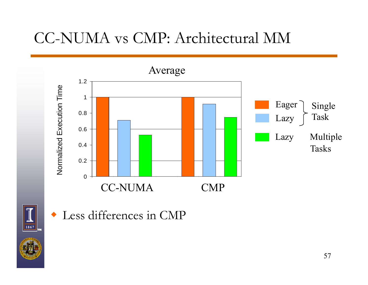#### CC-NUMA vs CMP: Architectural MM





 $\blacklozenge$ Less differences in CMP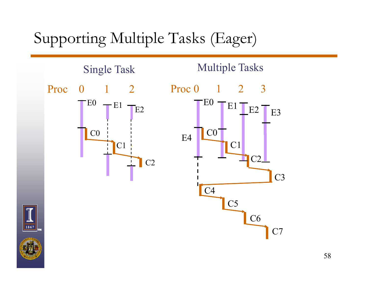#### Supporting Multiple Tasks (Eager)

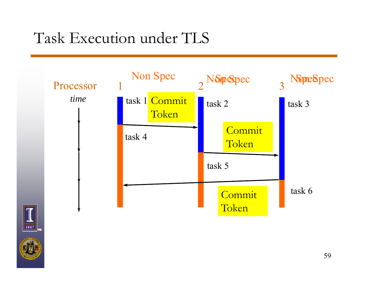## Task Execution under TLS

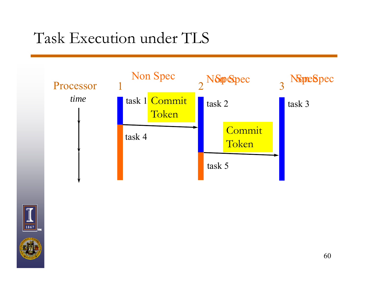### Task Execution under TLS



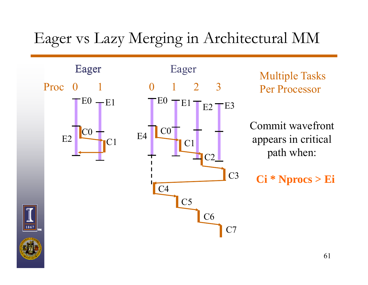#### Eager vs Lazy Merging in Architectural MM

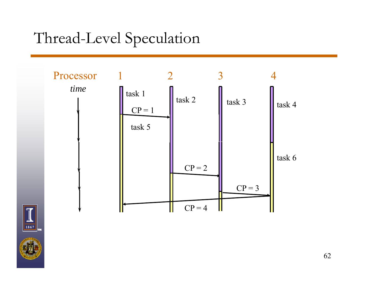#### Thread-Level Speculation

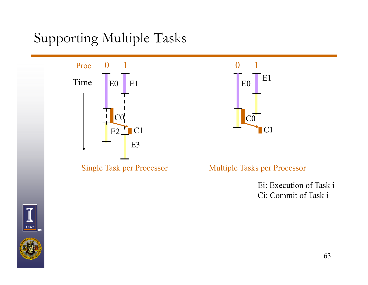#### Supporting Multiple Tasks





Ei: Execution of Task i Ci: Commit of Task i i



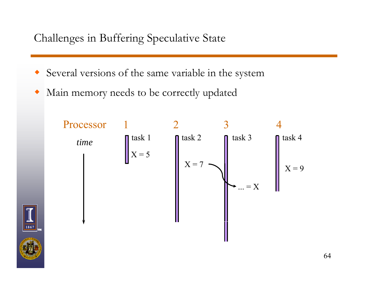#### Challenges in Buffering Speculative State

- ♦ Several versions of the same variable in the system
- ♦ Main memory needs to be correctly updated

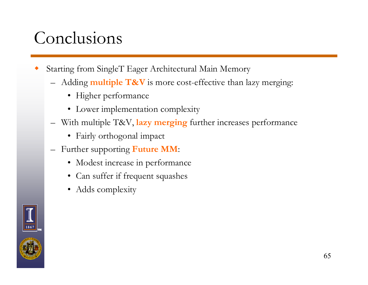## Conclusions

- ♦ Starting from SingleT Eager Architectural Main Memory
	- Adding **multiple T&V** is more cost-effective than lazy merging:
		- Higher performance
		- Lower implementation complexity
	- $-$  With multiple T&V, lazy merging further increases performance
		- Fairly orthogonal impact
	- Further supporting **Future MM**:
		- Modest increase in performance
		- Can suffer if frequent squashes
		- Adds complexity

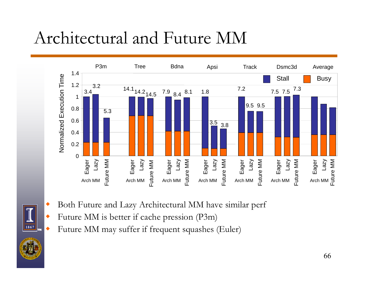# Architectural and Future MM



- $\blacklozenge$  Both Future and Lazy Architectural MM have similar perf
	- Future MM is better if cache pression (P3m)

◆

1867

◆ • Future MM may suffer if frequent squashes (Euler)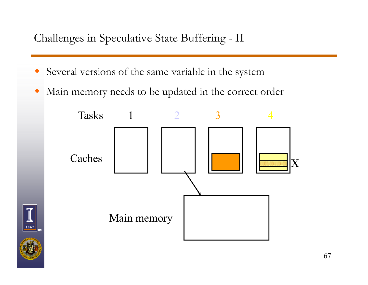Challenges in Speculative State Buffering - II

- Several versions of the same variable in the system
- $\blacklozenge$ • Main memory needs to be updated in the correct order



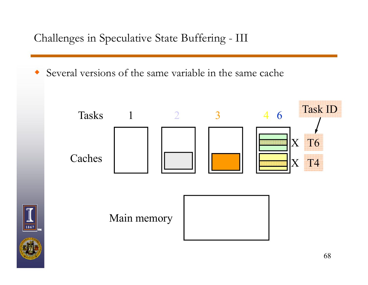Challenges in Speculative State Buffering - III

1867

Several versions of the same variable in the same cache

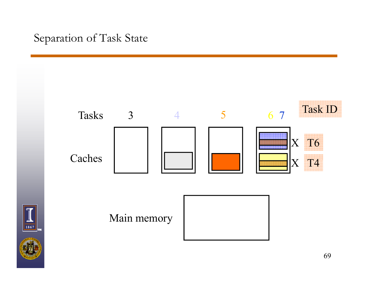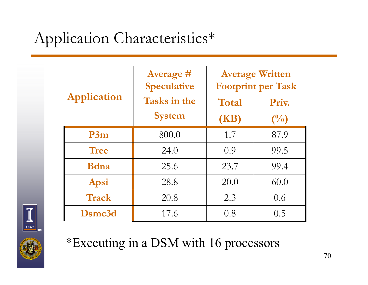# Application Characteristics\*

| <b>Application</b> | <b>Average #</b><br><b>Speculative</b> | <b>Average Written</b><br><b>Footprint per Task</b> |                |
|--------------------|----------------------------------------|-----------------------------------------------------|----------------|
|                    | <b>Tasks in the</b>                    | Total                                               | Priv.          |
|                    | <b>System</b>                          | (KB)                                                | $\binom{0}{0}$ |
| P3m                | 800.0                                  | 1.7                                                 | 87.9           |
| <b>Tree</b>        | 24.0                                   | 0.9                                                 | 99.5           |
| <b>B</b> dna       | 25.6                                   | 23.7                                                | 99.4           |
| Apsi               | 28.8                                   | 20.0                                                | 60.0           |
| <b>Track</b>       | 20.8                                   | 2.3                                                 | 0.6            |
| Dsmc3d             | 17.6                                   | 0.8                                                 | 0.5            |



\*Executing in a DSM with 16 processors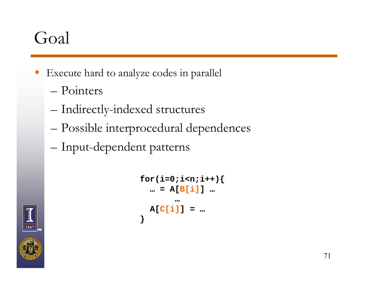# Goal

- Execute hard to analyze codes in parallel
	- Pointers
	- –Indirectly-indexed structures
	- –– Possible interprocedural dependences
	- –Input-dependent patterns

```
for(i=0;i<n;i++){
  … = A[B[i]] …
       …A[C[i]] = …
}
```